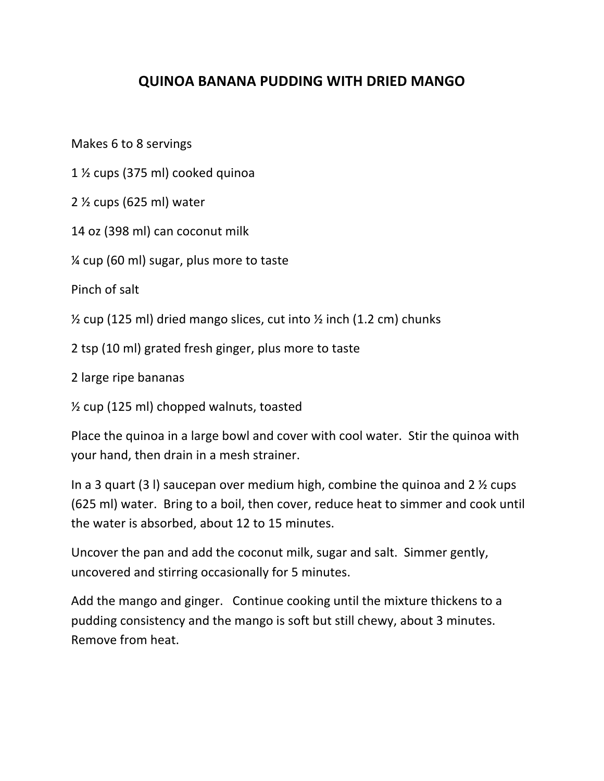## **QUINOA BANANA PUDDING WITH DRIED MANGO**

Makes 6 to 8 servings

1  $\frac{1}{2}$  cups (375 ml) cooked quinoa

 $2 \frac{1}{2}$  cups (625 ml) water

14 oz (398 ml) can coconut milk

 $%$  cup (60 ml) sugar, plus more to taste

Pinch of salt

 $\frac{1}{2}$  cup (125 ml) dried mango slices, cut into  $\frac{1}{2}$  inch (1.2 cm) chunks

2 tsp (10 ml) grated fresh ginger, plus more to taste

2 large ripe bananas

 $\frac{1}{2}$  cup (125 ml) chopped walnuts, toasted

Place the quinoa in a large bowl and cover with cool water. Stir the quinoa with your hand, then drain in a mesh strainer.

In a 3 quart (3) saucepan over medium high, combine the quinoa and  $2 \frac{1}{2}$  cups (625 ml) water. Bring to a boil, then cover, reduce heat to simmer and cook until the water is absorbed, about 12 to 15 minutes.

Uncover the pan and add the coconut milk, sugar and salt. Simmer gently, uncovered and stirring occasionally for 5 minutes.

Add the mango and ginger. Continue cooking until the mixture thickens to a pudding consistency and the mango is soft but still chewy, about 3 minutes. Remove from heat.